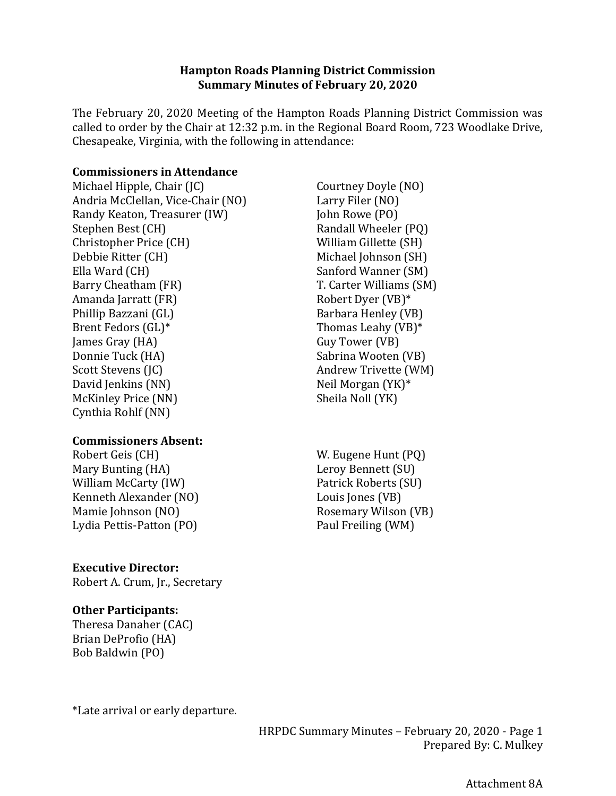#### **Hampton Roads Planning District Commission Summary Minutes of February 20, 2020**

The February 20, 2020 Meeting of the Hampton Roads Planning District Commission was called to order by the Chair at 12:32 p.m. in the Regional Board Room, 723 Woodlake Drive, Chesapeake, Virginia, with the following in attendance:

#### **Commissioners in Attendance**

Michael Hipple, Chair (JC) Andria McClellan, Vice-Chair (NO) Randy Keaton, Treasurer (IW) Stephen Best (CH) Christopher Price (CH) Debbie Ritter (CH) Ella Ward (CH) Barry Cheatham (FR) Amanda Jarratt (FR) Phillip Bazzani (GL) Brent Fedors (GL)\* James Gray (HA) Donnie Tuck (HA) Scott Stevens (JC) David Jenkins (NN) McKinley Price (NN) Cynthia Rohlf (NN)

## **Commissioners Absent:**

Robert Geis (CH) Mary Bunting (HA) William McCarty (IW) Kenneth Alexander (NO) Mamie Johnson (NO) Lydia Pettis-Patton (PO)

## **Executive Director:**

Robert A. Crum, Jr., Secretary

#### **Other Participants:**

Theresa Danaher (CAC) Brian DeProfio (HA) Bob Baldwin (PO)

\*Late arrival or early departure.

- Courtney Doyle (NO) Larry Filer (NO) John Rowe (PO) Randall Wheeler (PQ) William Gillette (SH) Michael Johnson (SH) Sanford Wanner (SM) T. Carter Williams (SM) Robert Dyer (VB)\* Barbara Henley (VB) Thomas Leahy (VB)\* Guy Tower (VB) Sabrina Wooten (VB) Andrew Trivette (WM) Neil Morgan (YK)\* Sheila Noll (YK)
- W. Eugene Hunt (PQ) Leroy Bennett (SU) Patrick Roberts (SU) Louis Jones (VB) Rosemary Wilson (VB) Paul Freiling (WM)

HRPDC Summary Minutes – February 20, 2020 - Page 1 Prepared By: C. Mulkey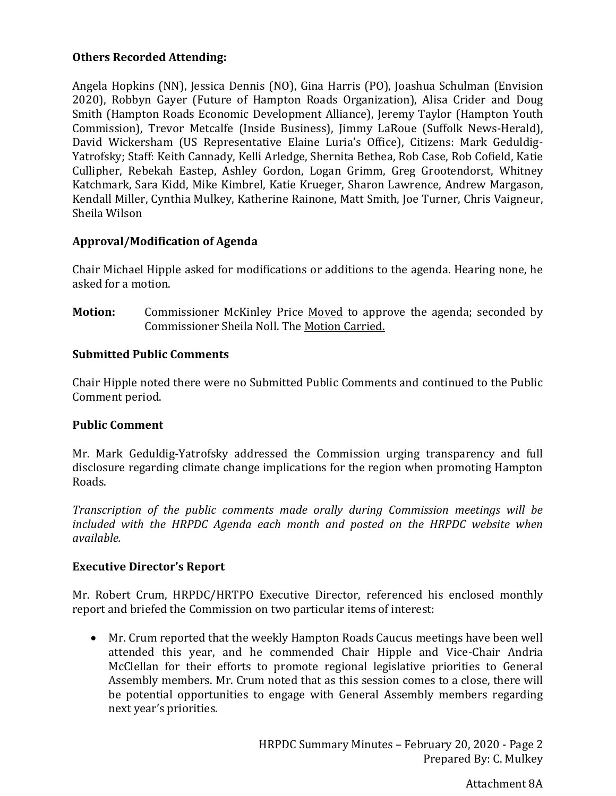# **Others Recorded Attending:**

Angela Hopkins (NN), Jessica Dennis (NO), Gina Harris (PO), Joashua Schulman (Envision 2020), Robbyn Gayer (Future of Hampton Roads Organization), Alisa Crider and Doug Smith (Hampton Roads Economic Development Alliance), Jeremy Taylor (Hampton Youth Commission), Trevor Metcalfe (Inside Business), Jimmy LaRoue (Suffolk News-Herald), David Wickersham (US Representative Elaine Luria's Office), Citizens: Mark Geduldig-Yatrofsky; Staff: Keith Cannady, Kelli Arledge, Shernita Bethea, Rob Case, Rob Cofield, Katie Cullipher, Rebekah Eastep, Ashley Gordon, Logan Grimm, Greg Grootendorst, Whitney Katchmark, Sara Kidd, Mike Kimbrel, Katie Krueger, Sharon Lawrence, Andrew Margason, Kendall Miller, Cynthia Mulkey, Katherine Rainone, Matt Smith, Joe Turner, Chris Vaigneur, Sheila Wilson

# **Approval/Modification of Agenda**

Chair Michael Hipple asked for modifications or additions to the agenda. Hearing none, he asked for a motion.

**Motion:** Commissioner McKinley Price Moved to approve the agenda; seconded by Commissioner Sheila Noll. The Motion Carried.

# **Submitted Public Comments**

Chair Hipple noted there were no Submitted Public Comments and continued to the Public Comment period.

## **Public Comment**

Mr. Mark Geduldig-Yatrofsky addressed the Commission urging transparency and full disclosure regarding climate change implications for the region when promoting Hampton Roads.

*Transcription of the public comments made orally during Commission meetings will be included with the HRPDC Agenda each month and posted on the HRPDC website when available.* 

## **Executive Director's Report**

Mr. Robert Crum, HRPDC/HRTPO Executive Director, referenced his enclosed monthly report and briefed the Commission on two particular items of interest:

• Mr. Crum reported that the weekly Hampton Roads Caucus meetings have been well attended this year, and he commended Chair Hipple and Vice-Chair Andria McClellan for their efforts to promote regional legislative priorities to General Assembly members. Mr. Crum noted that as this session comes to a close, there will be potential opportunities to engage with General Assembly members regarding next year's priorities.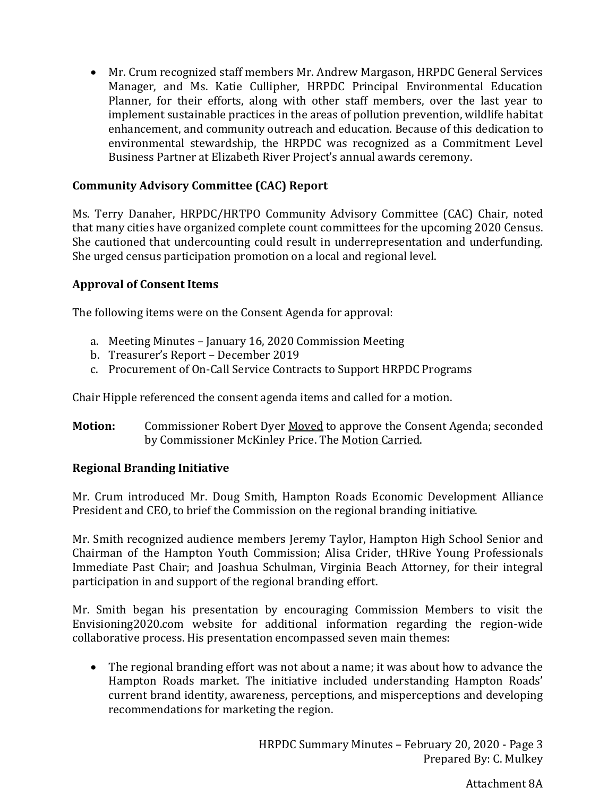• Mr. Crum recognized staff members Mr. Andrew Margason, HRPDC General Services Manager, and Ms. Katie Cullipher, HRPDC Principal Environmental Education Planner, for their efforts, along with other staff members, over the last year to implement sustainable practices in the areas of pollution prevention, wildlife habitat enhancement, and community outreach and education. Because of this dedication to environmental stewardship, the HRPDC was recognized as a Commitment Level Business Partner at Elizabeth River Project's annual awards ceremony.

# **Community Advisory Committee (CAC) Report**

Ms. Terry Danaher, HRPDC/HRTPO Community Advisory Committee (CAC) Chair, noted that many cities have organized complete count committees for the upcoming 2020 Census. She cautioned that undercounting could result in underrepresentation and underfunding. She urged census participation promotion on a local and regional level.

# **Approval of Consent Items**

The following items were on the Consent Agenda for approval:

- a. Meeting Minutes January 16, 2020 Commission Meeting
- b. Treasurer's Report December 2019
- c. Procurement of On-Call Service Contracts to Support HRPDC Programs

Chair Hipple referenced the consent agenda items and called for a motion.

**Motion:** Commissioner Robert Dyer Moved to approve the Consent Agenda; seconded by Commissioner McKinley Price. The Motion Carried.

## **Regional Branding Initiative**

Mr. Crum introduced Mr. Doug Smith, Hampton Roads Economic Development Alliance President and CEO, to brief the Commission on the regional branding initiative.

Mr. Smith recognized audience members Jeremy Taylor, Hampton High School Senior and Chairman of the Hampton Youth Commission; Alisa Crider, tHRive Young Professionals Immediate Past Chair; and Joashua Schulman, Virginia Beach Attorney, for their integral participation in and support of the regional branding effort.

Mr. Smith began his presentation by encouraging Commission Members to visit the Envisioning2020.com website for additional information regarding the region-wide collaborative process. His presentation encompassed seven main themes:

• The regional branding effort was not about a name; it was about how to advance the Hampton Roads market. The initiative included understanding Hampton Roads' current brand identity, awareness, perceptions, and misperceptions and developing recommendations for marketing the region.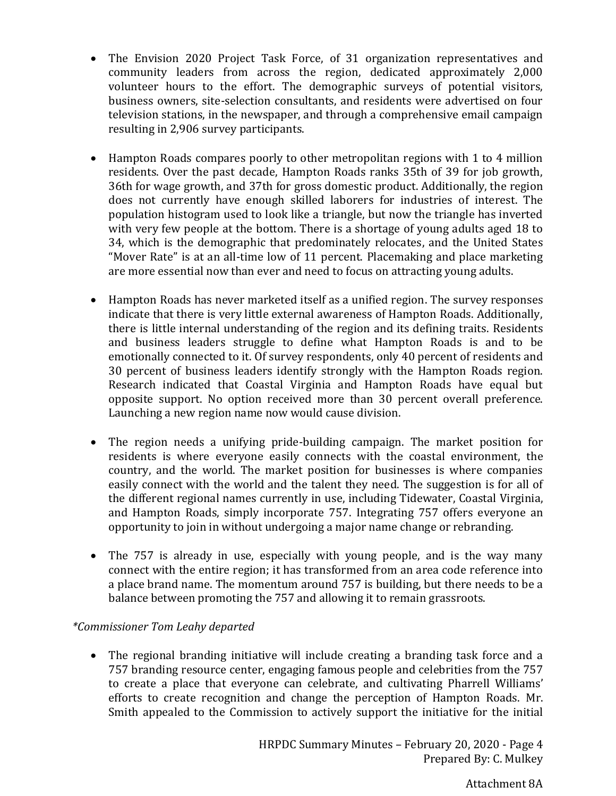- The Envision 2020 Project Task Force, of 31 organization representatives and community leaders from across the region, dedicated approximately 2,000 volunteer hours to the effort. The demographic surveys of potential visitors, business owners, site-selection consultants, and residents were advertised on four television stations, in the newspaper, and through a comprehensive email campaign resulting in 2,906 survey participants.
- Hampton Roads compares poorly to other metropolitan regions with 1 to 4 million residents. Over the past decade, Hampton Roads ranks 35th of 39 for job growth, 36th for wage growth, and 37th for gross domestic product. Additionally, the region does not currently have enough skilled laborers for industries of interest. The population histogram used to look like a triangle, but now the triangle has inverted with very few people at the bottom. There is a shortage of young adults aged 18 to 34, which is the demographic that predominately relocates, and the United States "Mover Rate" is at an all-time low of 11 percent. Placemaking and place marketing are more essential now than ever and need to focus on attracting young adults.
- Hampton Roads has never marketed itself as a unified region. The survey responses indicate that there is very little external awareness of Hampton Roads. Additionally, there is little internal understanding of the region and its defining traits. Residents and business leaders struggle to define what Hampton Roads is and to be emotionally connected to it. Of survey respondents, only 40 percent of residents and 30 percent of business leaders identify strongly with the Hampton Roads region. Research indicated that Coastal Virginia and Hampton Roads have equal but opposite support. No option received more than 30 percent overall preference. Launching a new region name now would cause division.
- The region needs a unifying pride-building campaign. The market position for residents is where everyone easily connects with the coastal environment, the country, and the world. The market position for businesses is where companies easily connect with the world and the talent they need. The suggestion is for all of the different regional names currently in use, including Tidewater, Coastal Virginia, and Hampton Roads, simply incorporate 757. Integrating 757 offers everyone an opportunity to join in without undergoing a major name change or rebranding.
- The 757 is already in use, especially with young people, and is the way many connect with the entire region; it has transformed from an area code reference into a place brand name. The momentum around 757 is building, but there needs to be a balance between promoting the 757 and allowing it to remain grassroots.

# *\*Commissioner Tom Leahy departed*

• The regional branding initiative will include creating a branding task force and a 757 branding resource center, engaging famous people and celebrities from the 757 to create a place that everyone can celebrate, and cultivating Pharrell Williams' efforts to create recognition and change the perception of Hampton Roads. Mr. Smith appealed to the Commission to actively support the initiative for the initial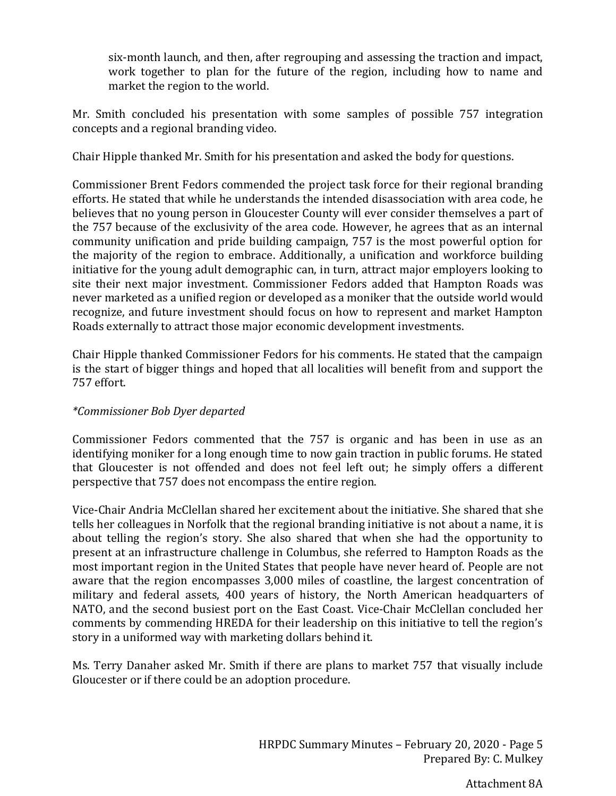six-month launch, and then, after regrouping and assessing the traction and impact, work together to plan for the future of the region, including how to name and market the region to the world.

Mr. Smith concluded his presentation with some samples of possible 757 integration concepts and a regional branding video.

Chair Hipple thanked Mr. Smith for his presentation and asked the body for questions.

Commissioner Brent Fedors commended the project task force for their regional branding efforts. He stated that while he understands the intended disassociation with area code, he believes that no young person in Gloucester County will ever consider themselves a part of the 757 because of the exclusivity of the area code. However, he agrees that as an internal community unification and pride building campaign, 757 is the most powerful option for the majority of the region to embrace. Additionally, a unification and workforce building initiative for the young adult demographic can, in turn, attract major employers looking to site their next major investment. Commissioner Fedors added that Hampton Roads was never marketed as a unified region or developed as a moniker that the outside world would recognize, and future investment should focus on how to represent and market Hampton Roads externally to attract those major economic development investments.

Chair Hipple thanked Commissioner Fedors for his comments. He stated that the campaign is the start of bigger things and hoped that all localities will benefit from and support the 757 effort.

## *\*Commissioner Bob Dyer departed*

Commissioner Fedors commented that the 757 is organic and has been in use as an identifying moniker for a long enough time to now gain traction in public forums. He stated that Gloucester is not offended and does not feel left out; he simply offers a different perspective that 757 does not encompass the entire region.

Vice-Chair Andria McClellan shared her excitement about the initiative. She shared that she tells her colleagues in Norfolk that the regional branding initiative is not about a name, it is about telling the region's story. She also shared that when she had the opportunity to present at an infrastructure challenge in Columbus, she referred to Hampton Roads as the most important region in the United States that people have never heard of. People are not aware that the region encompasses 3,000 miles of coastline, the largest concentration of military and federal assets, 400 years of history, the North American headquarters of NATO, and the second busiest port on the East Coast. Vice-Chair McClellan concluded her comments by commending HREDA for their leadership on this initiative to tell the region's story in a uniformed way with marketing dollars behind it.

Ms. Terry Danaher asked Mr. Smith if there are plans to market 757 that visually include Gloucester or if there could be an adoption procedure.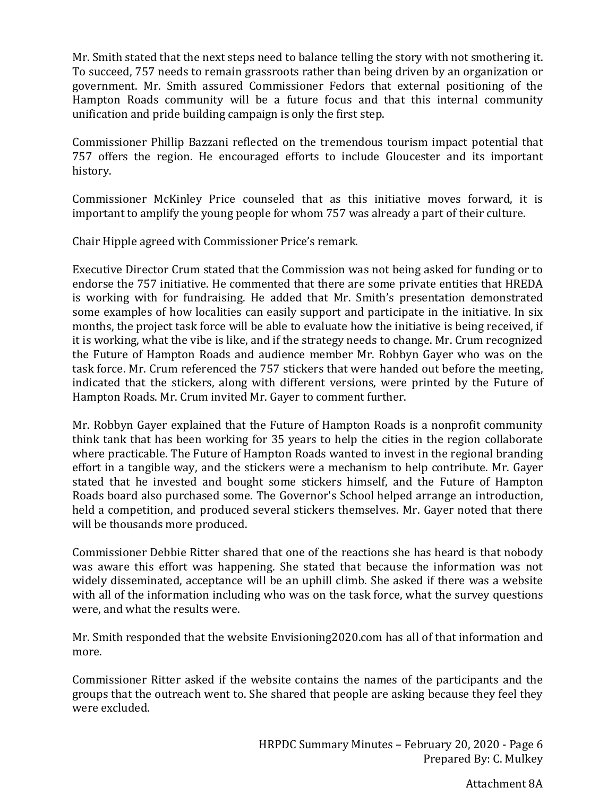Mr. Smith stated that the next steps need to balance telling the story with not smothering it. To succeed, 757 needs to remain grassroots rather than being driven by an organization or government. Mr. Smith assured Commissioner Fedors that external positioning of the Hampton Roads community will be a future focus and that this internal community unification and pride building campaign is only the first step.

Commissioner Phillip Bazzani reflected on the tremendous tourism impact potential that 757 offers the region. He encouraged efforts to include Gloucester and its important history.

Commissioner McKinley Price counseled that as this initiative moves forward, it is important to amplify the young people for whom 757 was already a part of their culture.

Chair Hipple agreed with Commissioner Price's remark.

Executive Director Crum stated that the Commission was not being asked for funding or to endorse the 757 initiative. He commented that there are some private entities that HREDA is working with for fundraising. He added that Mr. Smith's presentation demonstrated some examples of how localities can easily support and participate in the initiative. In six months, the project task force will be able to evaluate how the initiative is being received, if it is working, what the vibe is like, and if the strategy needs to change. Mr. Crum recognized the Future of Hampton Roads and audience member Mr. Robbyn Gayer who was on the task force. Mr. Crum referenced the 757 stickers that were handed out before the meeting, indicated that the stickers, along with different versions, were printed by the Future of Hampton Roads. Mr. Crum invited Mr. Gayer to comment further.

Mr. Robbyn Gayer explained that the Future of Hampton Roads is a nonprofit community think tank that has been working for 35 years to help the cities in the region collaborate where practicable. The Future of Hampton Roads wanted to invest in the regional branding effort in a tangible way, and the stickers were a mechanism to help contribute. Mr. Gayer stated that he invested and bought some stickers himself, and the Future of Hampton Roads board also purchased some. The Governor's School helped arrange an introduction, held a competition, and produced several stickers themselves. Mr. Gayer noted that there will be thousands more produced.

Commissioner Debbie Ritter shared that one of the reactions she has heard is that nobody was aware this effort was happening. She stated that because the information was not widely disseminated, acceptance will be an uphill climb. She asked if there was a website with all of the information including who was on the task force, what the survey questions were, and what the results were.

Mr. Smith responded that the website Envisioning2020.com has all of that information and more.

Commissioner Ritter asked if the website contains the names of the participants and the groups that the outreach went to. She shared that people are asking because they feel they were excluded.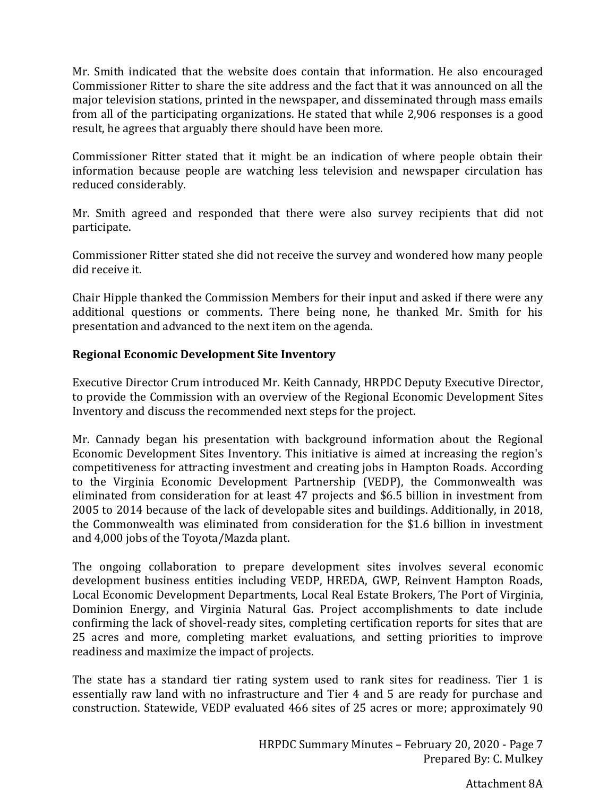Mr. Smith indicated that the website does contain that information. He also encouraged Commissioner Ritter to share the site address and the fact that it was announced on all the major television stations, printed in the newspaper, and disseminated through mass emails from all of the participating organizations. He stated that while 2,906 responses is a good result, he agrees that arguably there should have been more.

Commissioner Ritter stated that it might be an indication of where people obtain their information because people are watching less television and newspaper circulation has reduced considerably.

Mr. Smith agreed and responded that there were also survey recipients that did not participate.

Commissioner Ritter stated she did not receive the survey and wondered how many people did receive it.

Chair Hipple thanked the Commission Members for their input and asked if there were any additional questions or comments. There being none, he thanked Mr. Smith for his presentation and advanced to the next item on the agenda.

# **Regional Economic Development Site Inventory**

Executive Director Crum introduced Mr. Keith Cannady, HRPDC Deputy Executive Director, to provide the Commission with an overview of the Regional Economic Development Sites Inventory and discuss the recommended next steps for the project.

Mr. Cannady began his presentation with background information about the Regional Economic Development Sites Inventory. This initiative is aimed at increasing the region's competitiveness for attracting investment and creating jobs in Hampton Roads. According to the Virginia Economic Development Partnership (VEDP), the Commonwealth was eliminated from consideration for at least 47 projects and \$6.5 billion in investment from 2005 to 2014 because of the lack of developable sites and buildings. Additionally, in 2018, the Commonwealth was eliminated from consideration for the \$1.6 billion in investment and 4,000 jobs of the Toyota/Mazda plant.

The ongoing collaboration to prepare development sites involves several economic development business entities including VEDP, HREDA, GWP, Reinvent Hampton Roads, Local Economic Development Departments, Local Real Estate Brokers, The Port of Virginia, Dominion Energy, and Virginia Natural Gas. Project accomplishments to date include confirming the lack of shovel-ready sites, completing certification reports for sites that are 25 acres and more, completing market evaluations, and setting priorities to improve readiness and maximize the impact of projects.

The state has a standard tier rating system used to rank sites for readiness. Tier 1 is essentially raw land with no infrastructure and Tier 4 and 5 are ready for purchase and construction. Statewide, VEDP evaluated 466 sites of 25 acres or more; approximately 90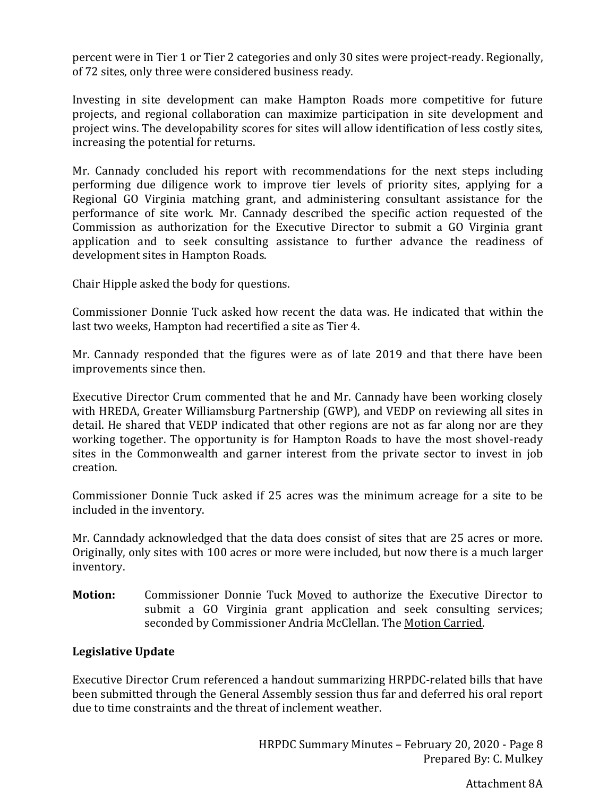percent were in Tier 1 or Tier 2 categories and only 30 sites were project-ready. Regionally, of 72 sites, only three were considered business ready.

Investing in site development can make Hampton Roads more competitive for future projects, and regional collaboration can maximize participation in site development and project wins. The developability scores for sites will allow identification of less costly sites, increasing the potential for returns.

Mr. Cannady concluded his report with recommendations for the next steps including performing due diligence work to improve tier levels of priority sites, applying for a Regional GO Virginia matching grant, and administering consultant assistance for the performance of site work. Mr. Cannady described the specific action requested of the Commission as authorization for the Executive Director to submit a GO Virginia grant application and to seek consulting assistance to further advance the readiness of development sites in Hampton Roads.

Chair Hipple asked the body for questions.

Commissioner Donnie Tuck asked how recent the data was. He indicated that within the last two weeks, Hampton had recertified a site as Tier 4.

Mr. Cannady responded that the figures were as of late 2019 and that there have been improvements since then.

Executive Director Crum commented that he and Mr. Cannady have been working closely with HREDA, Greater Williamsburg Partnership (GWP), and VEDP on reviewing all sites in detail. He shared that VEDP indicated that other regions are not as far along nor are they working together. The opportunity is for Hampton Roads to have the most shovel-ready sites in the Commonwealth and garner interest from the private sector to invest in job creation.

Commissioner Donnie Tuck asked if 25 acres was the minimum acreage for a site to be included in the inventory.

Mr. Canndady acknowledged that the data does consist of sites that are 25 acres or more. Originally, only sites with 100 acres or more were included, but now there is a much larger inventory.

**Motion:** Commissioner Donnie Tuck Moved to authorize the Executive Director to submit a GO Virginia grant application and seek consulting services; seconded by Commissioner Andria McClellan. The Motion Carried.

# **Legislative Update**

Executive Director Crum referenced a handout summarizing HRPDC-related bills that have been submitted through the General Assembly session thus far and deferred his oral report due to time constraints and the threat of inclement weather.